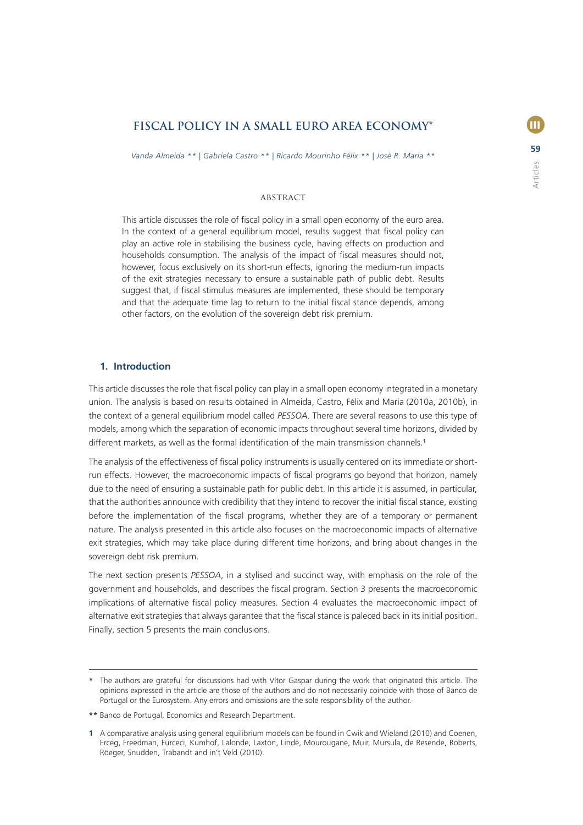# **FISCAL POLICY IN A SMALL EURO AREA ECONOMY\***

*Vanda Almeida \*\* | Gabriela Castro \*\* | Ricardo Mourinho Félix \*\* | José R. Maria \*\**

## Abstract

This article discusses the role of fiscal policy in a small open economy of the euro area. In the context of a general equilibrium model, results suggest that fiscal policy can play an active role in stabilising the business cycle, having effects on production and households consumption. The analysis of the impact of fiscal measures should not, however, focus exclusively on its short-run effects, ignoring the medium-run impacts of the exit strategies necessary to ensure a sustainable path of public debt. Results suggest that, if fiscal stimulus measures are implemented, these should be temporary and that the adequate time lag to return to the initial fiscal stance depends, among other factors, on the evolution of the sovereign debt risk premium.

## **1. Introduction**

This article discusses the role that fiscal policy can play in a small open economy integrated in a monetary union. The analysis is based on results obtained in Almeida, Castro, Félix and Maria (2010a, 2010b), in the context of a general equilibrium model called *PESSOA*. There are several reasons to use this type of models, among which the separation of economic impacts throughout several time horizons, divided by different markets, as well as the formal identification of the main transmission channels.<sup>1</sup>

The analysis of the effectiveness of fiscal policy instruments is usually centered on its immediate or shortrun effects. However, the macroeconomic impacts of fiscal programs go beyond that horizon, namely due to the need of ensuring a sustainable path for public debt. In this article it is assumed, in particular, that the authorities announce with credibility that they intend to recover the initial fiscal stance, existing before the implementation of the fiscal programs, whether they are of a temporary or permanent nature. The analysis presented in this article also focuses on the macroeconomic impacts of alternative exit strategies, which may take place during different time horizons, and bring about changes in the sovereign debt risk premium.

The next section presents *PESSOA*, in a stylised and succinct way, with emphasis on the role of the government and households, and describes the fiscal program. Section 3 presents the macroeconomic implications of alternative fiscal policy measures. Section 4 evaluates the macroeconomic impact of alternative exit strategies that always garantee that the fiscal stance is paleced back in its initial position. Finally, section 5 presents the main conclusions.

**<sup>\*</sup>** The authors are grateful for discussions had with Vítor Gaspar during the work that originated this article. The opinions expressed in the article are those of the authors and do not necessarily coincide with those of Banco de Portugal or the Eurosystem. Any errors and omissions are the sole responsibility of the author.

**<sup>\*\*</sup>** Banco de Portugal, Economics and Research Department.

**<sup>1</sup>** A comparative analysis using general equilibrium models can be found in Cwik and Wieland (2010) and Coenen, Erceg, Freedman, Furceci, Kumhof, Lalonde, Laxton, Lindé, Mourougane, Muir, Mursula, de Resende, Roberts, Röeger, Snudden, Trabandt and in't Veld (2010).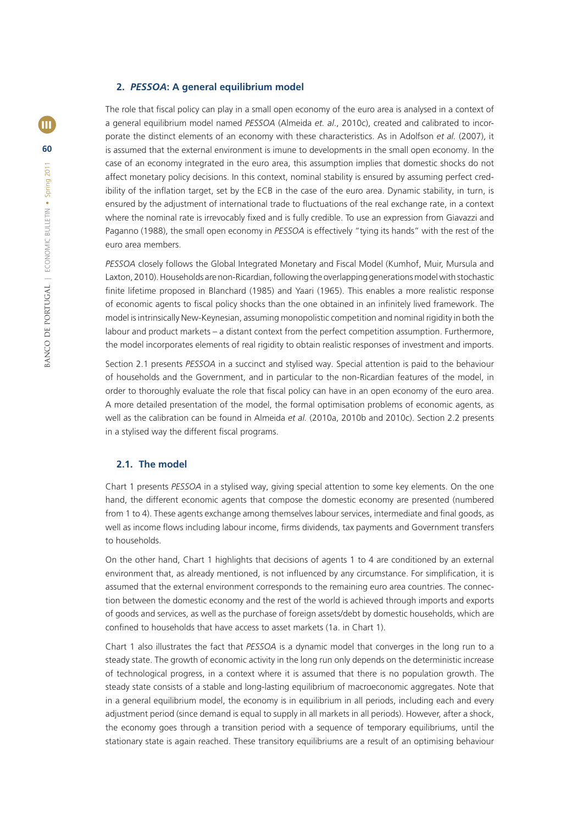#### **2.** *PESSOA***: A general equilibrium model**

The role that fiscal policy can play in a small open economy of the euro area is analysed in a context of a general equilibrium model named *PESSOA* (Almeida *et. al*., 2010c), created and calibrated to incorporate the distinct elements of an economy with these characteristics. As in Adolfson *et al.* (2007), it is assumed that the external environment is imune to developments in the small open economy. In the case of an economy integrated in the euro area, this assumption implies that domestic shocks do not affect monetary policy decisions. In this context, nominal stability is ensured by assuming perfect credibility of the inflation target, set by the ECB in the case of the euro area. Dynamic stability, in turn, is ensured by the adjustment of international trade to fluctuations of the real exchange rate, in a context where the nominal rate is irrevocably fixed and is fully credible. To use an expression from Giavazzi and Paganno (1988), the small open economy in *PESSOA* is effectively "tying its hands" with the rest of the euro area members.

*PESSOA* closely follows the Global Integrated Monetary and Fiscal Model (Kumhof, Muir, Mursula and Laxton, 2010). Households are non-Ricardian, following the overlapping generations model with stochastic finite lifetime proposed in Blanchard (1985) and Yaari (1965). This enables a more realistic response of economic agents to fiscal policy shocks than the one obtained in an infinitely lived framework. The model is intrinsically New-Keynesian, assuming monopolistic competition and nominal rigidity in both the labour and product markets – a distant context from the perfect competition assumption. Furthermore, the model incorporates elements of real rigidity to obtain realistic responses of investment and imports.

Section 2.1 presents *PESSOA* in a succinct and stylised way. Special attention is paid to the behaviour of households and the Government, and in particular to the non-Ricardian features of the model, in order to thoroughly evaluate the role that fiscal policy can have in an open economy of the euro area. A more detailed presentation of the model, the formal optimisation problems of economic agents, as well as the calibration can be found in Almeida *et al.* (2010a, 2010b and 2010c). Section 2.2 presents in a stylised way the different fiscal programs.

## **2.1. The model**

Chart 1 presents *PESSOA* in a stylised way, giving special attention to some key elements. On the one hand, the different economic agents that compose the domestic economy are presented (numbered from 1 to 4). These agents exchange among themselves labour services, intermediate and final goods, as well as income flows including labour income, firms dividends, tax payments and Government transfers to households.

On the other hand, Chart 1 highlights that decisions of agents 1 to 4 are conditioned by an external environment that, as already mentioned, is not influenced by any circumstance. For simplification, it is assumed that the external environment corresponds to the remaining euro area countries. The connection between the domestic economy and the rest of the world is achieved through imports and exports of goods and services, as well as the purchase of foreign assets/debt by domestic households, which are confined to households that have access to asset markets (1a. in Chart 1).

Chart 1 also illustrates the fact that *PESSOA* is a dynamic model that converges in the long run to a steady state. The growth of economic activity in the long run only depends on the deterministic increase of technological progress, in a context where it is assumed that there is no population growth. The steady state consists of a stable and long-lasting equilibrium of macroeconomic aggregates. Note that in a general equilibrium model, the economy is in equilibrium in all periods, including each and every adjustment period (since demand is equal to supply in all markets in all periods). However, after a shock, the economy goes through a transition period with a sequence of temporary equilibriums, until the stationary state is again reached. These transitory equilibriums are a result of an optimising behaviour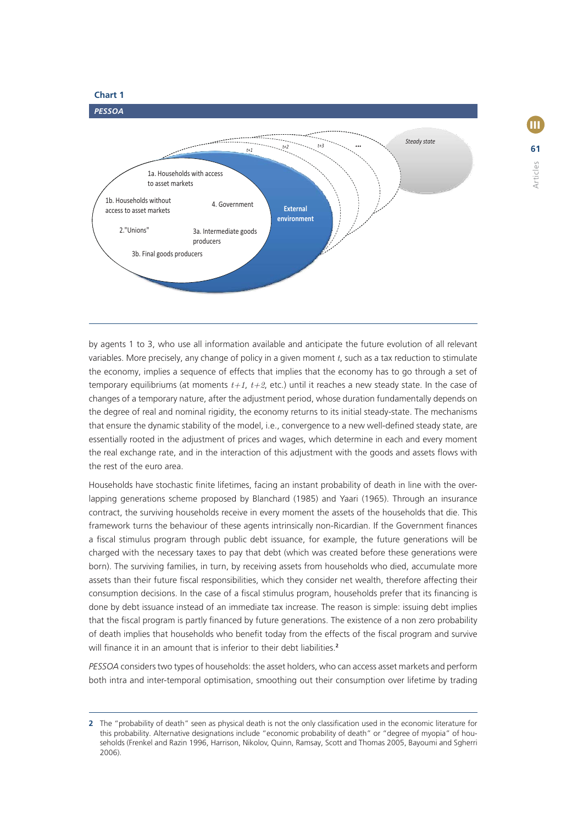

III

Articles

by agents 1 to 3, who use all information available and anticipate the future evolution of all relevant variables. More precisely, any change of policy in a given moment *t*, such as a tax reduction to stimulate the economy, implies a sequence of effects that implies that the economy has to go through a set of temporary equilibriums (at moments  $t+1$ ,  $t+2$ , etc.) until it reaches a new steady state. In the case of changes of a temporary nature, after the adjustment period, whose duration fundamentally depends on the degree of real and nominal rigidity, the economy returns to its initial steady-state. The mechanisms that ensure the dynamic stability of the model, i.e., convergence to a new well-defined steady state, are essentially rooted in the adjustment of prices and wages, which determine in each and every moment the real exchange rate, and in the interaction of this adjustment with the goods and assets flows with the rest of the euro area.

Households have stochastic finite lifetimes, facing an instant probability of death in line with the overlapping generations scheme proposed by Blanchard (1985) and Yaari (1965). Through an insurance contract, the surviving households receive in every moment the assets of the households that die. This framework turns the behaviour of these agents intrinsically non-Ricardian. If the Government finances a fiscal stimulus program through public debt issuance, for example, the future generations will be charged with the necessary taxes to pay that debt (which was created before these generations were born). The surviving families, in turn, by receiving assets from households who died, accumulate more assets than their future fiscal responsibilities, which they consider net wealth, therefore affecting their consumption decisions. In the case of a fiscal stimulus program, households prefer that its financing is done by debt issuance instead of an immediate tax increase. The reason is simple: issuing debt implies that the fiscal program is partly financed by future generations. The existence of a non zero probability of death implies that households who benefit today from the effects of the fiscal program and survive will finance it in an amount that is inferior to their debt liabilities.<sup>2</sup>

*PESSOA* considers two types of households: the asset holders, who can access asset markets and perform both intra and inter-temporal optimisation, smoothing out their consumption over lifetime by trading

**<sup>2</sup>** The "probability of death" seen as physical death is not the only classification used in the economic literature for this probability. Alternative designations include "economic probability of death" or "degree of myopia" of households (Frenkel and Razin 1996, Harrison, Nikolov, Quinn, Ramsay, Scott and Thomas 2005, Bayoumi and Sgherri 2006).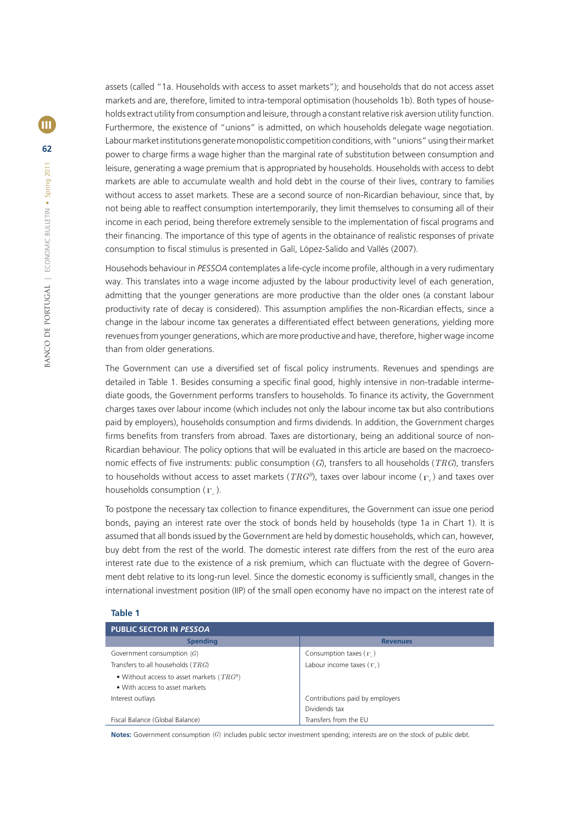assets (called "1a. Households with access to asset markets"); and households that do not access asset markets and are, therefore, limited to intra-temporal optimisation (households 1b). Both types of households extract utility from consumption and leisure, through a constant relative risk aversion utility function. Furthermore, the existence of "unions" is admitted, on which households delegate wage negotiation. Labour market institutions generate monopolistic competition conditions, with "unions" using their market power to charge firms a wage higher than the marginal rate of substitution between consumption and leisure, generating a wage premium that is appropriated by households. Households with access to debt markets are able to accumulate wealth and hold debt in the course of their lives, contrary to families without access to asset markets. These are a second source of non-Ricardian behaviour, since that, by not being able to reaffect consumption intertemporarily, they limit themselves to consuming all of their income in each period, being therefore extremely sensible to the implementation of fiscal programs and their financing. The importance of this type of agents in the obtainance of realistic responses of private consumption to fiscal stimulus is presented in Galí, López-Salido and Vallés (2007).

Househods behaviour in PESSOA contemplates a life-cycle income profile, although in a very rudimentary way. This translates into a wage income adjusted by the labour productivity level of each generation, admitting that the younger generations are more productive than the older ones (a constant labour productivity rate of decay is considered). This assumption amplifies the non-Ricardian effects, since a change in the labour income tax generates a differentiated effect between generations, yielding more revenues from younger generations, which are more productive and have, therefore, higher wage income than from older generations.

The Government can use a diversified set of fiscal policy instruments. Revenues and spendings are detailed in Table 1. Besides consuming a specific final good, highly intensive in non-tradable intermediate goods, the Government performs transfers to households. To finance its activity, the Government charges taxes over labour income (which includes not only the labour income tax but also contributions paid by employers), households consumption and firms dividends. In addition, the Government charges firms benefits from transfers from abroad. Taxes are distortionary, being an additional source of non-Ricardian behaviour. The policy options that will be evaluated in this article are based on the macroeconomic effects of five instruments: public consumption (*G*), transfers to all households (*TRG*), transfers to households without access to asset markets (*TRGB*), taxes over labour income ( Γ*<sup>l</sup>* ) and taxes over households consumption ( Γ*<sup>c</sup>* ).

To postpone the necessary tax collection to finance expenditures, the Government can issue one period bonds, paying an interest rate over the stock of bonds held by households (type 1a in Chart 1). It is assumed that all bonds issued by the Government are held by domestic households, which can, however, buy debt from the rest of the world. The domestic interest rate differs from the rest of the euro area interest rate due to the existence of a risk premium, which can fluctuate with the degree of Government debt relative to its long-run level. Since the domestic economy is sufficiently small, changes in the international investment position (IIP) of the small open economy have no impact on the interest rate of

#### **Table 1**

| <b>PUBLIC SECTOR IN PESSOA</b>                |                                 |  |  |  |  |
|-----------------------------------------------|---------------------------------|--|--|--|--|
| <b>Spending</b>                               | <b>Revenues</b>                 |  |  |  |  |
| Government consumption $(G)$                  | Consumption taxes $(\Gamma)$    |  |  |  |  |
| Transfers to all households ( $TRG$ )         | Labour income taxes $(\Gamma)$  |  |  |  |  |
| • Without access to asset markets ( $TRG^B$ ) |                                 |  |  |  |  |
| • With access to asset markets                |                                 |  |  |  |  |
| Interest outlays                              | Contributions paid by employers |  |  |  |  |
|                                               | Dividends tax                   |  |  |  |  |
| Fiscal Balance (Global Balance)               | Transfers from the EU           |  |  |  |  |

**Notes:** Government consumption (G) includes public sector investment spending; interests are on the stock of public debt.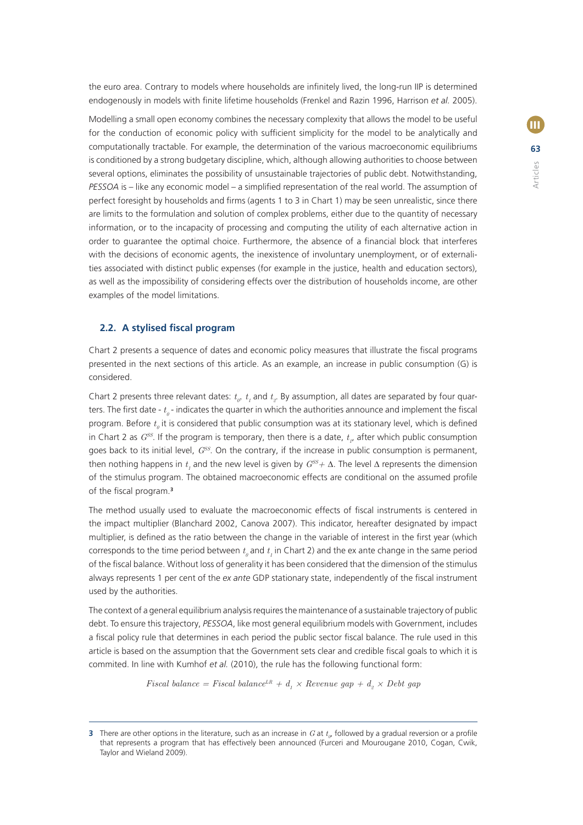the euro area. Contrary to models where households are infinitely lived, the long-run IIP is determined endogenously in models with finite lifetime households (Frenkel and Razin 1996, Harrison et al. 2005).

Modelling a small open economy combines the necessary complexity that allows the model to be useful for the conduction of economic policy with sufficient simplicity for the model to be analytically and computationally tractable. For example, the determination of the various macroeconomic equilibriums is conditioned by a strong budgetary discipline, which, although allowing authorities to choose between several options, eliminates the possibility of unsustainable trajectories of public debt. Notwithstanding, *PESSOA* is – like any economic model – a simplified representation of the real world. The assumption of perfect foresight by households and firms (agents 1 to 3 in Chart 1) may be seen unrealistic, since there are limits to the formulation and solution of complex problems, either due to the quantity of necessary information, or to the incapacity of processing and computing the utility of each alternative action in order to guarantee the optimal choice. Furthermore, the absence of a financial block that interferes with the decisions of economic agents, the inexistence of involuntary unemployment, or of externalities associated with distinct public expenses (for example in the justice, health and education sectors), as well as the impossibility of considering effects over the distribution of households income, are other examples of the model limitations.

# **2.2. A stylised fiscal program**

Chart 2 presents a sequence of dates and economic policy measures that illustrate the fiscal programs presented in the next sections of this article. As an example, an increase in public consumption (G) is considered.

Chart 2 presents three relevant dates:  $t_o$ ,  $t_i$  and  $t_g$ . By assumption, all dates are separated by four quarters. The first date -  $t_{\scriptscriptstyle{\theta}}$  - indicates the quarter in which the authorities announce and implement the fiscal program. Before  $t_o$  it is considered that public consumption was at its stationary level, which is defined in Chart 2 as  $G^{SS}$ . If the program is temporary, then there is a date,  $t_{I}$ , after which public consumption goes back to its initial level, *GSS*. On the contrary, if the increase in public consumption is permanent, then nothing happens in  $t_1$  and the new level is given by  $G^{SS} + \Delta$ . The level  $\Delta$  represents the dimension of the stimulus program. The obtained macroeconomic effects are conditional on the assumed profile of the fiscal program.<sup>3</sup>

The method usually used to evaluate the macroeconomic effects of fiscal instruments is centered in the impact multiplier (Blanchard 2002, Canova 2007). This indicator, hereafter designated by impact multiplier, is defined as the ratio between the change in the variable of interest in the first year (which corresponds to the time period between  $t_{\scriptscriptstyle{\theta}}$  and  $t_{\scriptscriptstyle{I}}$  in Chart 2) and the ex ante change in the same period of the fiscal balance. Without loss of generality it has been considered that the dimension of the stimulus always represents 1 per cent of the *ex ante* GDP stationary state, independently of the fiscal instrument used by the authorities.

The context of a general equilibrium analysis requires the maintenance of a sustainable trajectory of public debt. To ensure this trajectory, *PESSOA*, like most general equilibrium models with Government, includes a fiscal policy rule that determines in each period the public sector fiscal balance. The rule used in this article is based on the assumption that the Government sets clear and credible fiscal goals to which it is commited. In line with Kumhof *et al.* (2010), the rule has the following functional form:

*Fiscal balance = Fiscal balance*<sup>LR</sup> +  $d<sub>1</sub>$  × Revenue gap +  $d<sub>2</sub>$  × Debt gap

**<sup>3</sup>** There are other options in the literature, such as an increase in  $G$  at  $t_{\varphi}$  followed by a gradual reversion or a profile that represents a program that has effectively been announced (Furceri and Mourougane 2010, Cogan, Cwik, Taylor and Wieland 2009).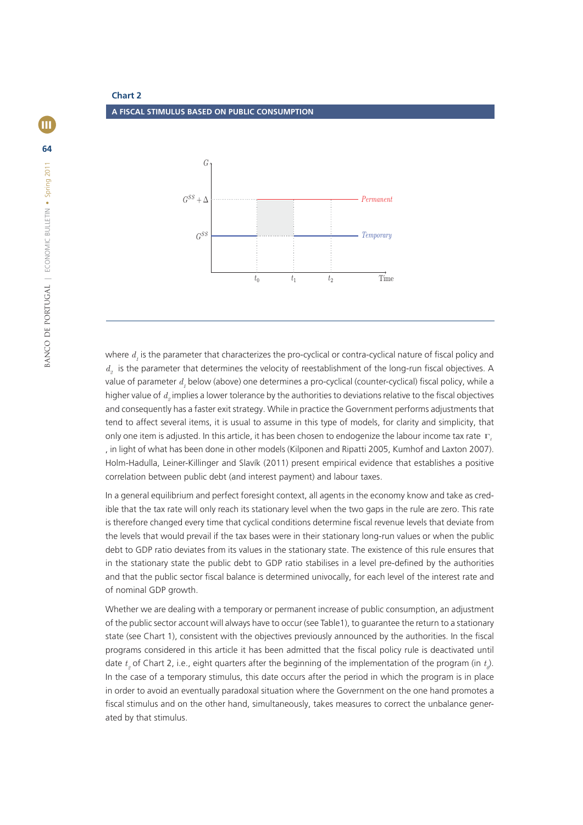**Chart 2 A FISCAL STIMULUS BASED ON PUBLIC CONSUMPTION**



where  $d_{_I}$  is the parameter that characterizes the pro-cyclical or contra-cyclical nature of fiscal policy and *d<sub>a</sub>* is the parameter that determines the velocity of reestablishment of the long-run fiscal objectives. A value of parameter  $d_{_I}$  below (above) one determines a pro-cyclical (counter-cyclical) fiscal policy, while a higher value of  $d_{_2}$  implies a lower tolerance by the authorities to deviations relative to the fiscal objectives and consequently has a faster exit strategy. While in practice the Government performs adjustments that tend to affect several items, it is usual to assume in this type of models, for clarity and simplicity, that only one item is adjusted. In this article, it has been chosen to endogenize the labour income tax rate Γ*<sup>l</sup>* , in light of what has been done in other models (Kilponen and Ripatti 2005, Kumhof and Laxton 2007). Holm-Hadulla, Leiner-Killinger and Slavík (2011) present empirical evidence that establishes a positive correlation between public debt (and interest payment) and labour taxes.

In a general equilibrium and perfect foresight context, all agents in the economy know and take as credible that the tax rate will only reach its stationary level when the two gaps in the rule are zero. This rate is therefore changed every time that cyclical conditions determine fiscal revenue levels that deviate from the levels that would prevail if the tax bases were in their stationary long-run values or when the public debt to GDP ratio deviates from its values in the stationary state. The existence of this rule ensures that in the stationary state the public debt to GDP ratio stabilises in a level pre-defined by the authorities and that the public sector fiscal balance is determined univocally, for each level of the interest rate and of nominal GDP growth.

Whether we are dealing with a temporary or permanent increase of public consumption, an adjustment of the public sector account will always have to occur (see Table1), to guarantee the return to a stationary state (see Chart 1), consistent with the objectives previously announced by the authorities. In the fiscal programs considered in this article it has been admitted that the fiscal policy rule is deactivated until date  $t_{\scriptscriptstyle\beta}$  of Chart 2, i.e., eight quarters after the beginning of the implementation of the program (in  $t_{\scriptscriptstyle\theta}$ ). In the case of a temporary stimulus, this date occurs after the period in which the program is in place in order to avoid an eventually paradoxal situation where the Government on the one hand promotes a fiscal stimulus and on the other hand, simultaneously, takes measures to correct the unbalance generated by that stimulus.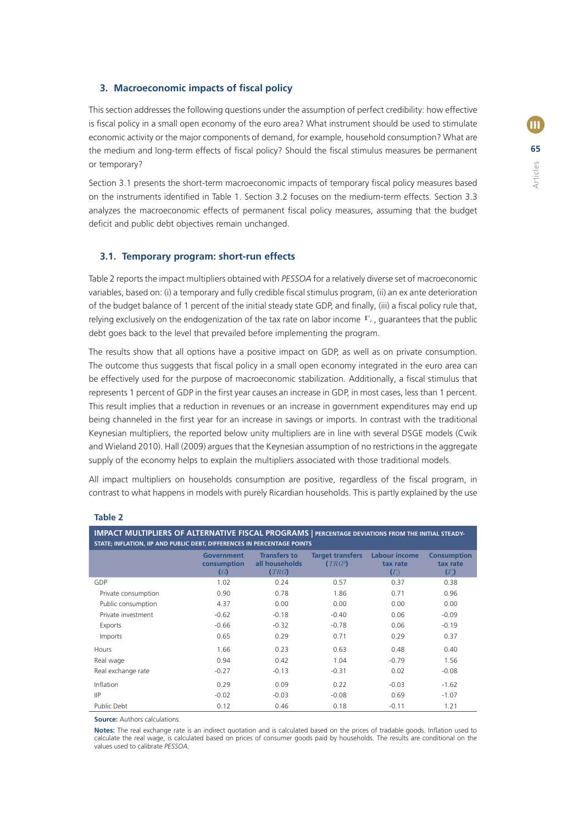# **3. Macroeconomic impacts of fiscal policy**

This section addresses the following questions under the assumption of perfect credibility: how effective is fiscal policy in a small open economy of the euro area? What instrument should be used to stimulate economic activity or the major components of demand, for example, household consumption? What are the medium and long-term effects of fiscal policy? Should the fiscal stimulus measures be permanent or temporary?

Section 3.1 presents the short-term macroeconomic impacts of temporary fiscal policy measures based on the instruments identified in Table 1. Section 3.2 focuses on the medium-term effects. Section 3.3 analyzes the macroeconomic effects of permanent fiscal policy measures, assuming that the budget deficit and public debt objectives remain unchanged.

# **3.1. Temporary program: short-run effects**

Table 2 reports the impact multipliers obtained with *PESSOA* for a relatively diverse set of macroeconomic variables, based on: (i) a temporary and fully credible fiscal stimulus program, (ii) an ex ante deterioration of the budget balance of 1 percent of the initial steady state GDP, and finally, (iii) a fiscal policy rule that, relying exclusively on the endogenization of the tax rate on labor income Γ*<sup>l</sup>* , guarantees that the public debt goes back to the level that prevailed before implementing the program.

The results show that all options have a positive impact on GDP, as well as on private consumption. The outcome thus suggests that fiscal policy in a small open economy integrated in the euro area can be effectively used for the purpose of macroeconomic stabilization. Additionally, a fiscal stimulus that represents 1 percent of GDP in the first year causes an increase in GDP, in most cases, less than 1 percent. This result implies that a reduction in revenues or an increase in government expenditures may end up being channeled in the first year for an increase in savings or imports. In contrast with the traditional Keynesian multipliers, the reported below unity multipliers are in line with several DSGE models (Cwik and Wieland 2010). Hall (2009) argues that the Keynesian assumption of no restrictions in the aggregate supply of the economy helps to explain the multipliers associated with those traditional models.

All impact multipliers on households consumption are positive, regardless of the fiscal program, in contrast to what happens in models with purely Ricardian households. This is partly explained by the use

| <b>IMPACT MULTIPLIERS OF ALTERNATIVE FISCAL PROGRAMS   PERCENTAGE DEVIATIONS FROM THE INITIAL STEADY-</b><br>STATE; INFLATION, IIP AND PUBLIC DEBT, DIFFERENCES IN PERCENTAGE POINTS |                                                      |                                              |                                      |                                                |                                              |  |
|--------------------------------------------------------------------------------------------------------------------------------------------------------------------------------------|------------------------------------------------------|----------------------------------------------|--------------------------------------|------------------------------------------------|----------------------------------------------|--|
|                                                                                                                                                                                      | <b>Government</b><br>consumption<br>$\mathcal{L}(G)$ | <b>Transfers to</b><br>all households<br>TRG | <b>Target transfers</b><br>$(TRG^B)$ | <b>Labour income</b><br>tax rate<br>$(\Gamma)$ | <b>Consumption</b><br>tax rate<br>$(\Gamma)$ |  |
| GDP                                                                                                                                                                                  | 1.02                                                 | 0.24                                         | 0.57                                 | 0.37                                           | 0.38                                         |  |
| Private consumption                                                                                                                                                                  | 0.90                                                 | 0.78                                         | 1.86                                 | 0.71                                           | 0.96                                         |  |
| Public consumption                                                                                                                                                                   | 4.37                                                 | 0.00                                         | 0.00                                 | 0.00                                           | 0.00                                         |  |
| Private investment                                                                                                                                                                   | $-0.62$                                              | $-0.18$                                      | $-0.40$                              | 0.06                                           | $-0.09$                                      |  |
| Exports                                                                                                                                                                              | $-0.66$                                              | $-0.32$                                      | $-0.78$                              | 0.06                                           | $-0.19$                                      |  |
| Imports                                                                                                                                                                              | 0.65                                                 | 0.29                                         | 0.71                                 | 0.29                                           | 0.37                                         |  |
| Hours                                                                                                                                                                                | 1.66                                                 | 0.23                                         | 0.63                                 | 0.48                                           | 0.40                                         |  |
| Real wage                                                                                                                                                                            | 0.94                                                 | 0.42                                         | 1.04                                 | $-0.79$                                        | 1.56                                         |  |
| Real exchange rate                                                                                                                                                                   | $-0.27$                                              | $-0.13$                                      | $-0.31$                              | 0.02                                           | $-0.08$                                      |  |
| Inflation                                                                                                                                                                            | 0.29                                                 | 0.09                                         | 0.22                                 | $-0.03$                                        | $-1.62$                                      |  |
| $\mathsf{HP}$                                                                                                                                                                        | $-0.02$                                              | $-0.03$                                      | $-0.08$                              | 0.69                                           | $-1.07$                                      |  |
| Public Debt                                                                                                                                                                          | 0.12                                                 | 0.46                                         | 0.18                                 | $-0.11$                                        | 1.21                                         |  |

#### **Table 2**

**Source:** Authors calculations.

Notes: The real exchange rate is an indirect quotation and is calculated based on the prices of tradable goods. Inflation used to calculate the real wage, is calculated based on prices of consumer goods paid by households. The results are conditional on the values used to calibrate *PESSOA.*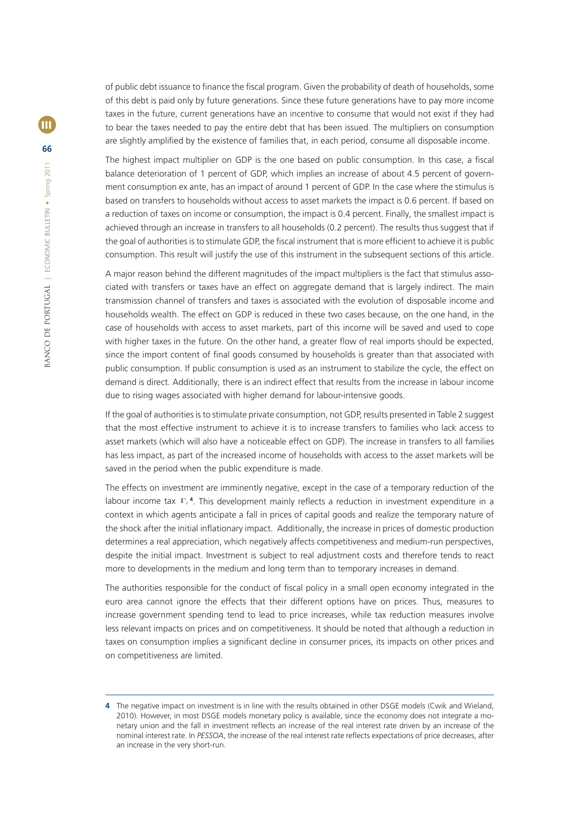of public debt issuance to finance the fiscal program. Given the probability of death of households, some of this debt is paid only by future generations. Since these future generations have to pay more income taxes in the future, current generations have an incentive to consume that would not exist if they had to bear the taxes needed to pay the entire debt that has been issued. The multipliers on consumption are slightly amplified by the existence of families that, in each period, consume all disposable income.

The highest impact multiplier on GDP is the one based on public consumption. In this case, a fiscal balance deterioration of 1 percent of GDP, which implies an increase of about 4.5 percent of government consumption ex ante, has an impact of around 1 percent of GDP. In the case where the stimulus is based on transfers to households without access to asset markets the impact is 0.6 percent. If based on a reduction of taxes on income or consumption, the impact is 0.4 percent. Finally, the smallest impact is achieved through an increase in transfers to all households (0.2 percent). The results thus suggest that if the goal of authorities is to stimulate GDP, the fiscal instrument that is more efficient to achieve it is public consumption. This result will justify the use of this instrument in the subsequent sections of this article.

A major reason behind the different magnitudes of the impact multipliers is the fact that stimulus associated with transfers or taxes have an effect on aggregate demand that is largely indirect. The main transmission channel of transfers and taxes is associated with the evolution of disposable income and households wealth. The effect on GDP is reduced in these two cases because, on the one hand, in the case of households with access to asset markets, part of this income will be saved and used to cope with higher taxes in the future. On the other hand, a greater flow of real imports should be expected, since the import content of final goods consumed by households is greater than that associated with public consumption. If public consumption is used as an instrument to stabilize the cycle, the effect on demand is direct. Additionally, there is an indirect effect that results from the increase in labour income due to rising wages associated with higher demand for labour-intensive goods.

If the goal of authorities is to stimulate private consumption, not GDP, results presented in Table 2 suggest that the most effective instrument to achieve it is to increase transfers to families who lack access to asset markets (which will also have a noticeable effect on GDP). The increase in transfers to all families has less impact, as part of the increased income of households with access to the asset markets will be saved in the period when the public expenditure is made.

The effects on investment are imminently negative, except in the case of a temporary reduction of the labour income tax Γ<sup>1</sup>. This development mainly reflects a reduction in investment expenditure in a context in which agents anticipate a fall in prices of capital goods and realize the temporary nature of the shock after the initial inflationary impact. Additionally, the increase in prices of domestic production determines a real appreciation, which negatively affects competitiveness and medium-run perspectives, despite the initial impact. Investment is subject to real adjustment costs and therefore tends to react more to developments in the medium and long term than to temporary increases in demand.

The authorities responsible for the conduct of fiscal policy in a small open economy integrated in the euro area cannot ignore the effects that their different options have on prices. Thus, measures to increase government spending tend to lead to price increases, while tax reduction measures involve less relevant impacts on prices and on competitiveness. It should be noted that although a reduction in taxes on consumption implies a significant decline in consumer prices, its impacts on other prices and on competitiveness are limited.

**<sup>4</sup>** The negative impact on investment is in line with the results obtained in other DSGE models (Cwik and Wieland, 2010). However, in most DSGE models monetary policy is available, since the economy does not integrate a monetary union and the fall in investment reflects an increase of the real interest rate driven by an increase of the nominal interest rate. In PESSOA, the increase of the real interest rate reflects expectations of price decreases, after an increase in the very short-run.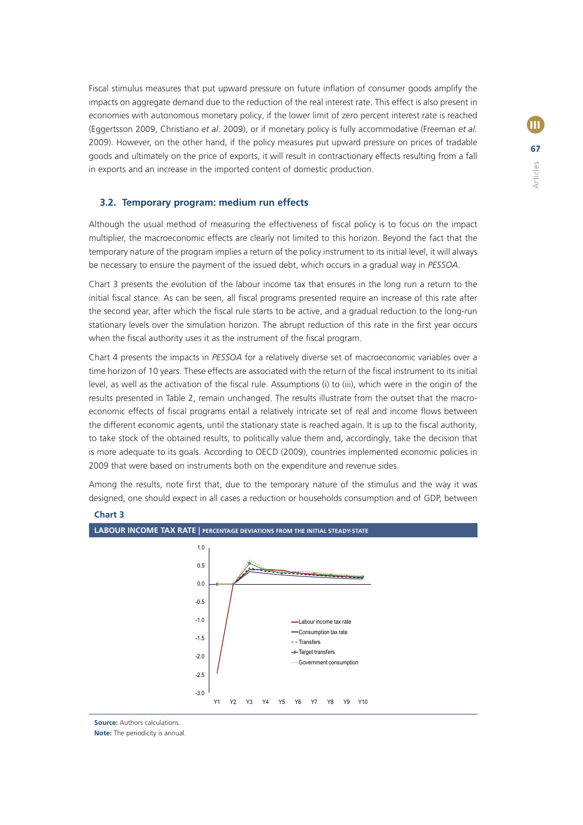Fiscal stimulus measures that put upward pressure on future inflation of consumer goods amplify the impacts on aggregate demand due to the reduction of the real interest rate. This effect is also present in economies with autonomous monetary policy, if the lower limit of zero percent interest rate is reached (Eggertsson 2009, Christiano *et al*. 2009), or if monetary policy is fully accommodative (Freeman *et al.* 2009). However, on the other hand, if the policy measures put upward pressure on prices of tradable goods and ultimately on the price of exports, it will result in contractionary effects resulting from a fall in exports and an increase in the imported content of domestic production.

# **3.2. Temporary program: medium run effects**

Although the usual method of measuring the effectiveness of fiscal policy is to focus on the impact multiplier, the macroeconomic effects are clearly not limited to this horizon. Beyond the fact that the temporary nature of the program implies a return of the policy instrument to its initial level, it will always be necessary to ensure the payment of the issued debt, which occurs in a gradual way in *PESSOA*.

Chart 3 presents the evolution of the labour income tax that ensures in the long run a return to the initial fiscal stance. As can be seen, all fiscal programs presented require an increase of this rate after the second year, after which the fiscal rule starts to be active, and a gradual reduction to the long-run stationary levels over the simulation horizon. The abrupt reduction of this rate in the first year occurs when the fiscal authority uses it as the instrument of the fiscal program.

Chart 4 presents the impacts in *PESSOA* for a relatively diverse set of macroeconomic variables over a time horizon of 10 years. These effects are associated with the return of the fiscal instrument to its initial level, as well as the activation of the fiscal rule. Assumptions (i) to (iii), which were in the origin of the results presented in Table 2, remain unchanged. The results illustrate from the outset that the macroeconomic effects of fiscal programs entail a relatively intricate set of real and income flows between the different economic agents, until the stationary state is reached again. It is up to the fiscal authority, to take stock of the obtained results, to politically value them and, accordingly, take the decision that is more adequate to its goals. According to OECD (2009), countries implemented economic policies in 2009 that were based on instruments both on the expenditure and revenue sides.

Among the results, note first that, due to the temporary nature of the stimulus and the way it was designed, one should expect in all cases a reduction or households consumption and of GDP, between



#### **Chart 3**

**Source:** Authors calculations.

**Note:** The periodicity is annual.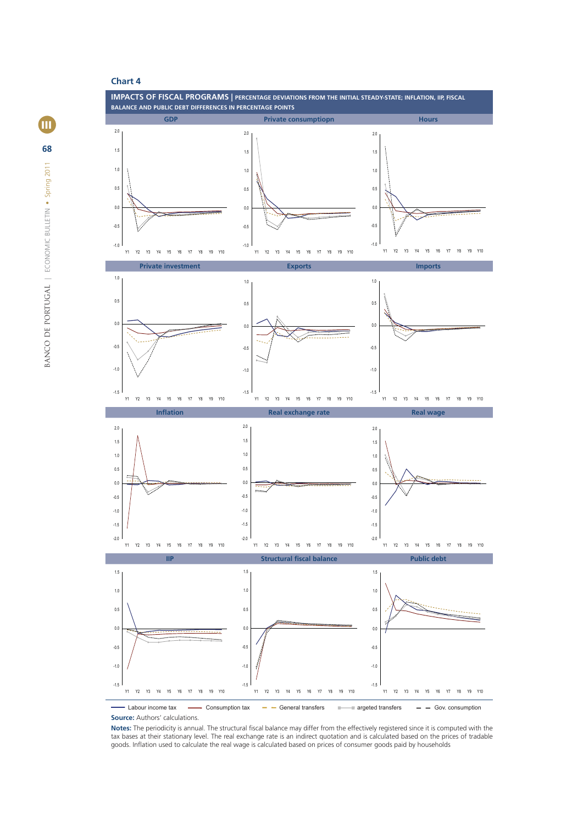

- Labour income tax  $\longrightarrow$  Consumption tax  $\longleftarrow$  General transfers  $\longleftarrow$  argeted transfers  $\longleftarrow$  Gov. consumption **Source:** Authors' calculations.

Notes: The periodicity is annual. The structural fiscal balance may differ from the effectively registered since it is computed with the tax bases at their stationary level. The real exchange rate is an indirect quotation and is calculated based on the prices of tradable goods. Inflation used to calculate the real wage is calculated based on prices of consumer goods paid by households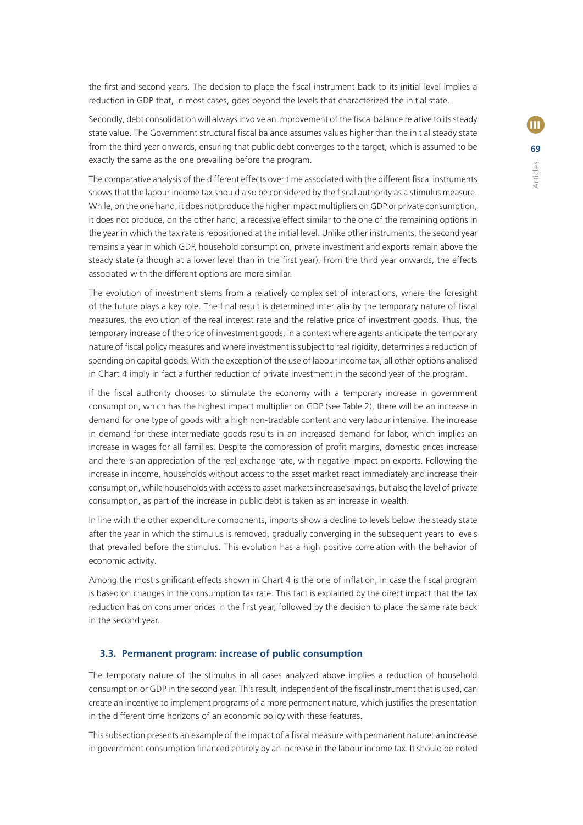the first and second years. The decision to place the fiscal instrument back to its initial level implies a reduction in GDP that, in most cases, goes beyond the levels that characterized the initial state.

Secondly, debt consolidation will always involve an improvement of the fiscal balance relative to its steady state value. The Government structural fiscal balance assumes values higher than the initial steady state from the third year onwards, ensuring that public debt converges to the target, which is assumed to be exactly the same as the one prevailing before the program.

The comparative analysis of the different effects over time associated with the different fiscal instruments shows that the labour income tax should also be considered by the fiscal authority as a stimulus measure. While, on the one hand, it does not produce the higher impact multipliers on GDP or private consumption, it does not produce, on the other hand, a recessive effect similar to the one of the remaining options in the year in which the tax rate is repositioned at the initial level. Unlike other instruments, the second year remains a year in which GDP, household consumption, private investment and exports remain above the steady state (although at a lower level than in the first year). From the third year onwards, the effects associated with the different options are more similar.

The evolution of investment stems from a relatively complex set of interactions, where the foresight of the future plays a key role. The final result is determined inter alia by the temporary nature of fiscal measures, the evolution of the real interest rate and the relative price of investment goods. Thus, the temporary increase of the price of investment goods, in a context where agents anticipate the temporary nature of fiscal policy measures and where investment is subject to real rigidity, determines a reduction of spending on capital goods. With the exception of the use of labour income tax, all other options analised in Chart 4 imply in fact a further reduction of private investment in the second year of the program.

If the fiscal authority chooses to stimulate the economy with a temporary increase in government consumption, which has the highest impact multiplier on GDP (see Table 2), there will be an increase in demand for one type of goods with a high non-tradable content and very labour intensive. The increase in demand for these intermediate goods results in an increased demand for labor, which implies an increase in wages for all families. Despite the compression of profit margins, domestic prices increase and there is an appreciation of the real exchange rate, with negative impact on exports. Following the increase in income, households without access to the asset market react immediately and increase their consumption, while households with access to asset markets increase savings, but also the level of private consumption, as part of the increase in public debt is taken as an increase in wealth.

In line with the other expenditure components, imports show a decline to levels below the steady state after the year in which the stimulus is removed, gradually converging in the subsequent years to levels that prevailed before the stimulus. This evolution has a high positive correlation with the behavior of economic activity.

Among the most significant effects shown in Chart 4 is the one of inflation, in case the fiscal program is based on changes in the consumption tax rate. This fact is explained by the direct impact that the tax reduction has on consumer prices in the first year, followed by the decision to place the same rate back in the second year.

## **3.3. Permanent program: increase of public consumption**

The temporary nature of the stimulus in all cases analyzed above implies a reduction of household consumption or GDP in the second year. This result, independent of the fiscal instrument that is used, can create an incentive to implement programs of a more permanent nature, which justifies the presentation in the different time horizons of an economic policy with these features.

This subsection presents an example of the impact of a fiscal measure with permanent nature: an increase in government consumption financed entirely by an increase in the labour income tax. It should be noted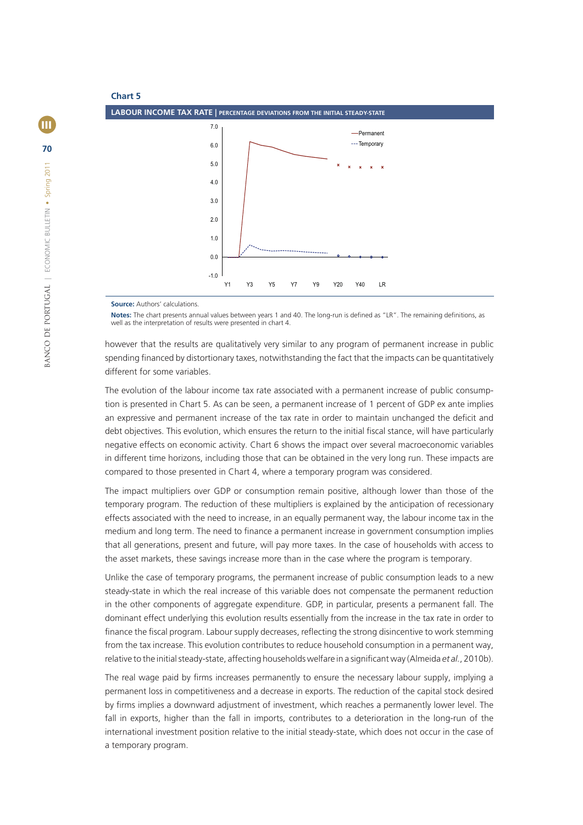

**Source:** Authors' calculations.

Notes: The chart presents annual values between years 1 and 40. The long-run is defined as "LR". The remaining definitions, as well as the interpretation of results were presented in chart 4

however that the results are qualitatively very similar to any program of permanent increase in public spending financed by distortionary taxes, notwithstanding the fact that the impacts can be quantitatively different for some variables.

The evolution of the labour income tax rate associated with a permanent increase of public consumption is presented in Chart 5. As can be seen, a permanent increase of 1 percent of GDP ex ante implies an expressive and permanent increase of the tax rate in order to maintain unchanged the deficit and debt objectives. This evolution, which ensures the return to the initial fiscal stance, will have particularly negative effects on economic activity. Chart 6 shows the impact over several macroeconomic variables in different time horizons, including those that can be obtained in the very long run. These impacts are compared to those presented in Chart 4, where a temporary program was considered.

The impact multipliers over GDP or consumption remain positive, although lower than those of the temporary program. The reduction of these multipliers is explained by the anticipation of recessionary effects associated with the need to increase, in an equally permanent way, the labour income tax in the medium and long term. The need to finance a permanent increase in government consumption implies that all generations, present and future, will pay more taxes. In the case of households with access to the asset markets, these savings increase more than in the case where the program is temporary.

Unlike the case of temporary programs, the permanent increase of public consumption leads to a new steady-state in which the real increase of this variable does not compensate the permanent reduction in the other components of aggregate expenditure. GDP, in particular, presents a permanent fall. The dominant effect underlying this evolution results essentially from the increase in the tax rate in order to finance the fiscal program. Labour supply decreases, reflecting the strong disincentive to work stemming from the tax increase. This evolution contributes to reduce household consumption in a permanent way, relative to the initial steady-state, affecting households welfare in a significant way (Almeida *et al.*, 2010b).

The real wage paid by firms increases permanently to ensure the necessary labour supply, implying a permanent loss in competitiveness and a decrease in exports. The reduction of the capital stock desired by firms implies a downward adjustment of investment, which reaches a permanently lower level. The fall in exports, higher than the fall in imports, contributes to a deterioration in the long-run of the international investment position relative to the initial steady-state, which does not occur in the case of a temporary program.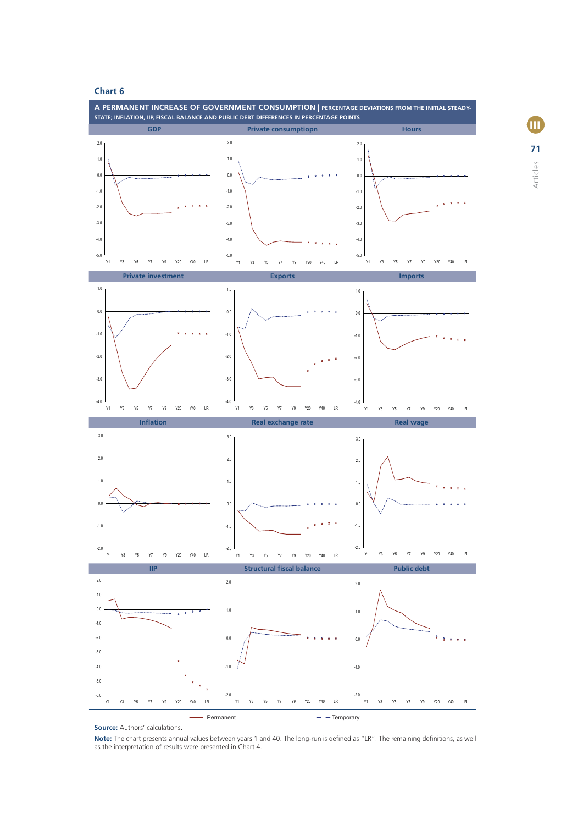

**Source:** Authors' calculations.

Note: The chart presents annual values between years 1 and 40. The long-run is defined as "LR". The remaining definitions, as well as the interpretation of results were presented in Chart 4.

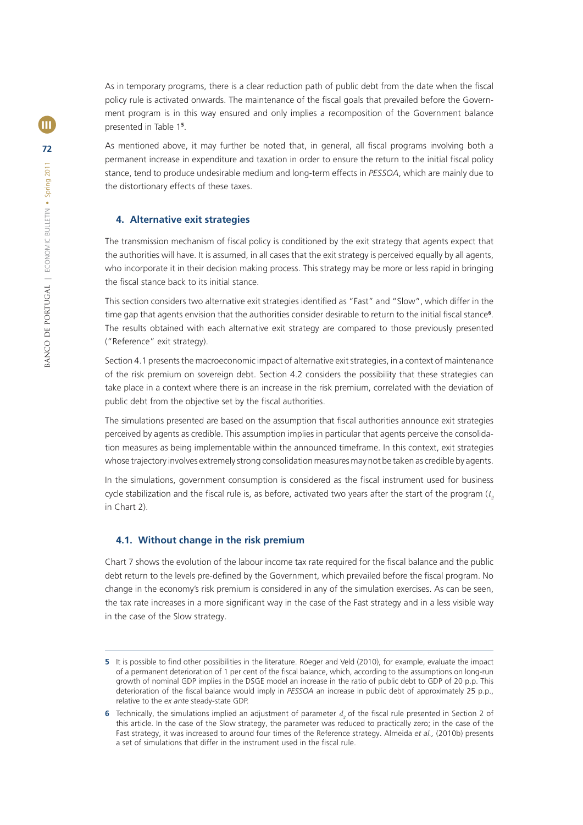As in temporary programs, there is a clear reduction path of public debt from the date when the fiscal policy rule is activated onwards. The maintenance of the fiscal goals that prevailed before the Government program is in this way ensured and only implies a recomposition of the Government balance presented in Table 1**<sup>5</sup>** .

As mentioned above, it may further be noted that, in general, all fiscal programs involving both a permanent increase in expenditure and taxation in order to ensure the return to the initial fiscal policy stance, tend to produce undesirable medium and long-term effects in *PESSOA*, which are mainly due to the distortionary effects of these taxes.

# **4. Alternative exit strategies**

The transmission mechanism of fiscal policy is conditioned by the exit strategy that agents expect that the authorities will have. It is assumed, in all cases that the exit strategy is perceived equally by all agents, who incorporate it in their decision making process. This strategy may be more or less rapid in bringing the fiscal stance back to its initial stance.

This section considers two alternative exit strategies identified as "Fast" and "Slow", which differ in the time gap that agents envision that the authorities consider desirable to return to the initial fiscal stance<sup>6</sup>. The results obtained with each alternative exit strategy are compared to those previously presented ("Reference" exit strategy).

Section 4.1 presents the macroeconomic impact of alternative exit strategies, in a context of maintenance of the risk premium on sovereign debt. Section 4.2 considers the possibility that these strategies can take place in a context where there is an increase in the risk premium, correlated with the deviation of public debt from the objective set by the fiscal authorities.

The simulations presented are based on the assumption that fiscal authorities announce exit strategies perceived by agents as credible. This assumption implies in particular that agents perceive the consolidation measures as being implementable within the announced timeframe. In this context, exit strategies whose trajectory involves extremely strong consolidation measures may not be taken as credible by agents.

In the simulations, government consumption is considered as the fiscal instrument used for business cycle stabilization and the fiscal rule is, as before, activated two years after the start of the program  $(t_2, t_1)$ in Chart 2).

# **4.1. Without change in the risk premium**

Chart 7 shows the evolution of the labour income tax rate required for the fiscal balance and the public debt return to the levels pre-defined by the Government, which prevailed before the fiscal program. No change in the economy's risk premium is considered in any of the simulation exercises. As can be seen, the tax rate increases in a more significant way in the case of the Fast strategy and in a less visible way in the case of the Slow strategy.

**<sup>5</sup>** It is possible to find other possibilities in the literature. Röeger and Veld (2010), for example, evaluate the impact of a permanent deterioration of 1 per cent of the fiscal balance, which, according to the assumptions on long-run growth of nominal GDP implies in the DSGE model an increase in the ratio of public debt to GDP of 20 p.p. This deterioration of the fiscal balance would imply in PESSOA an increase in public debt of approximately 25 p.p., relative to the *ex ante* steady-state GDP.

**<sup>6</sup>** Technically, the simulations implied an adjustment of parameter  $d<sub>2</sub>$  of the fiscal rule presented in Section 2 of this article. In the case of the Slow strategy, the parameter was reduced to practically zero; in the case of the Fast strategy, it was increased to around four times of the Reference strategy. Almeida *et al.,* (2010b) presents a set of simulations that differ in the instrument used in the fiscal rule.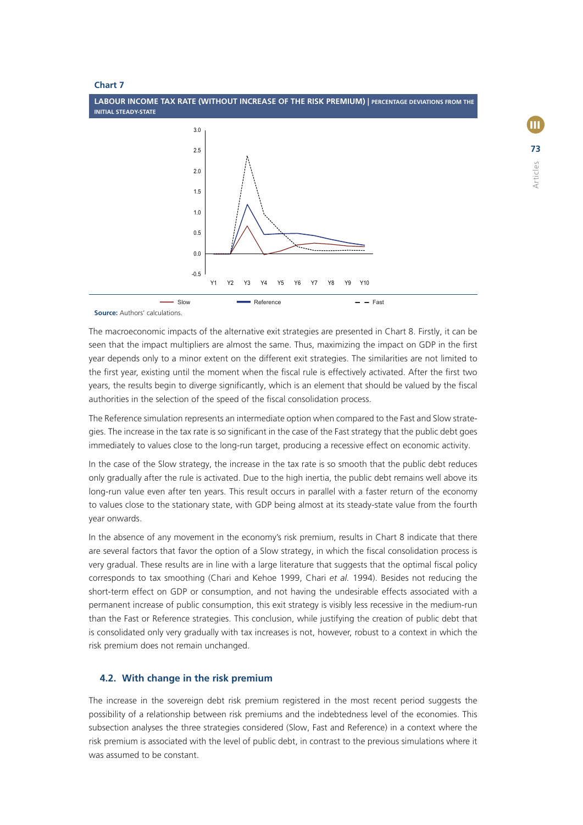

**Source:** Authors' calculations.

The macroeconomic impacts of the alternative exit strategies are presented in Chart 8. Firstly, it can be seen that the impact multipliers are almost the same. Thus, maximizing the impact on GDP in the first year depends only to a minor extent on the different exit strategies. The similarities are not limited to the first year, existing until the moment when the fiscal rule is effectively activated. After the first two years, the results begin to diverge significantly, which is an element that should be valued by the fiscal authorities in the selection of the speed of the fiscal consolidation process.

The Reference simulation represents an intermediate option when compared to the Fast and Slow strategies. The increase in the tax rate is so significant in the case of the Fast strategy that the public debt goes immediately to values close to the long-run target, producing a recessive effect on economic activity.

In the case of the Slow strategy, the increase in the tax rate is so smooth that the public debt reduces only gradually after the rule is activated. Due to the high inertia, the public debt remains well above its long-run value even after ten years. This result occurs in parallel with a faster return of the economy to values close to the stationary state, with GDP being almost at its steady-state value from the fourth year onwards.

In the absence of any movement in the economy's risk premium, results in Chart 8 indicate that there are several factors that favor the option of a Slow strategy, in which the fiscal consolidation process is very gradual. These results are in line with a large literature that suggests that the optimal fiscal policy corresponds to tax smoothing (Chari and Kehoe 1999, Chari *et al.* 1994). Besides not reducing the short-term effect on GDP or consumption, and not having the undesirable effects associated with a permanent increase of public consumption, this exit strategy is visibly less recessive in the medium-run than the Fast or Reference strategies. This conclusion, while justifying the creation of public debt that is consolidated only very gradually with tax increases is not, however, robust to a context in which the risk premium does not remain unchanged.

## **4.2. With change in the risk premium**

The increase in the sovereign debt risk premium registered in the most recent period suggests the possibility of a relationship between risk premiums and the indebtedness level of the economies. This subsection analyses the three strategies considered (Slow, Fast and Reference) in a context where the risk premium is associated with the level of public debt, in contrast to the previous simulations where it was assumed to be constant.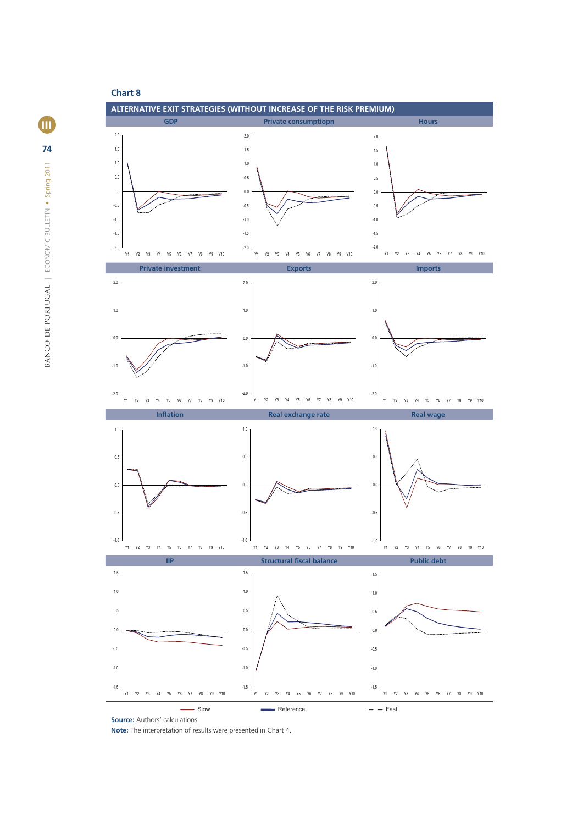

**iii 74** BANCO DE PORTUGAL | ECONOMIC BULLETIN . Spring 2011 BANCO DE PORTUGAL **|** ECONOMIC BULLETIN • Spring 2011

**Note:** The interpretation of results were presented in Chart 4.

**Source:** Authors' calculations.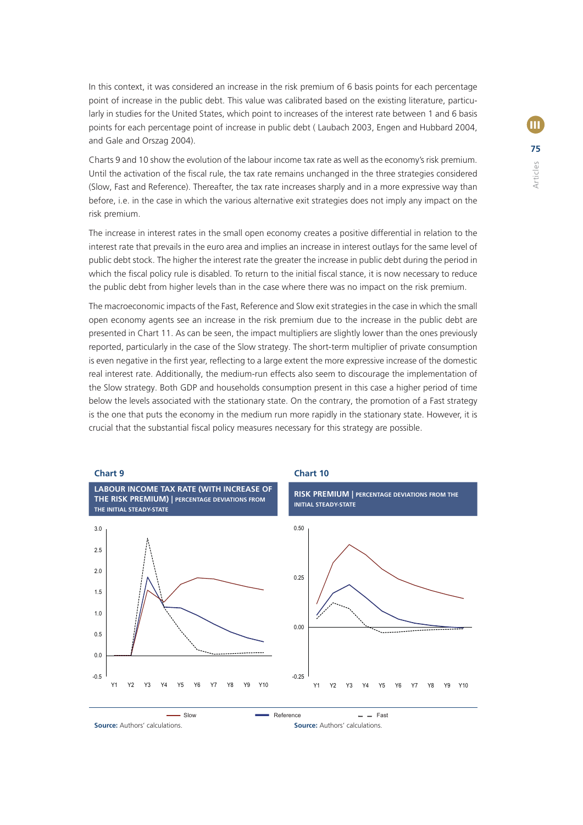In this context, it was considered an increase in the risk premium of 6 basis points for each percentage point of increase in the public debt. This value was calibrated based on the existing literature, particularly in studies for the United States, which point to increases of the interest rate between 1 and 6 basis points for each percentage point of increase in public debt ( Laubach 2003, Engen and Hubbard 2004, and Gale and Orszag 2004).

Charts 9 and 10 show the evolution of the labour income tax rate as well as the economy's risk premium. Until the activation of the fiscal rule, the tax rate remains unchanged in the three strategies considered (Slow, Fast and Reference). Thereafter, the tax rate increases sharply and in a more expressive way than before, i.e. in the case in which the various alternative exit strategies does not imply any impact on the risk premium.

The increase in interest rates in the small open economy creates a positive differential in relation to the interest rate that prevails in the euro area and implies an increase in interest outlays for the same level of public debt stock. The higher the interest rate the greater the increase in public debt during the period in which the fiscal policy rule is disabled. To return to the initial fiscal stance, it is now necessary to reduce the public debt from higher levels than in the case where there was no impact on the risk premium.

The macroeconomic impacts of the Fast, Reference and Slow exit strategies in the case in which the small open economy agents see an increase in the risk premium due to the increase in the public debt are presented in Chart 11. As can be seen, the impact multipliers are slightly lower than the ones previously reported, particularly in the case of the Slow strategy. The short-term multiplier of private consumption is even negative in the first year, reflecting to a large extent the more expressive increase of the domestic real interest rate. Additionally, the medium-run effects also seem to discourage the implementation of the Slow strategy. Both GDP and households consumption present in this case a higher period of time below the levels associated with the stationary state. On the contrary, the promotion of a Fast strategy is the one that puts the economy in the medium run more rapidly in the stationary state. However, it is crucial that the substantial fiscal policy measures necessary for this strategy are possible.



**Source:** Authors' calculations. **Source:** Authors' calculations.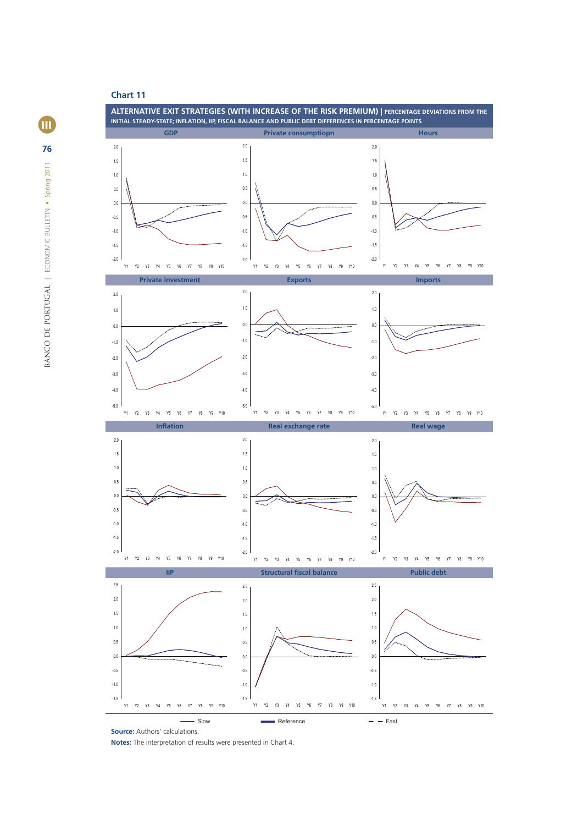

- Slow **EXECUTE:** Reference **Reference Fast** 

**Source:** Authors' calculations.

**Notes:** The interpretation of results were presented in Chart 4.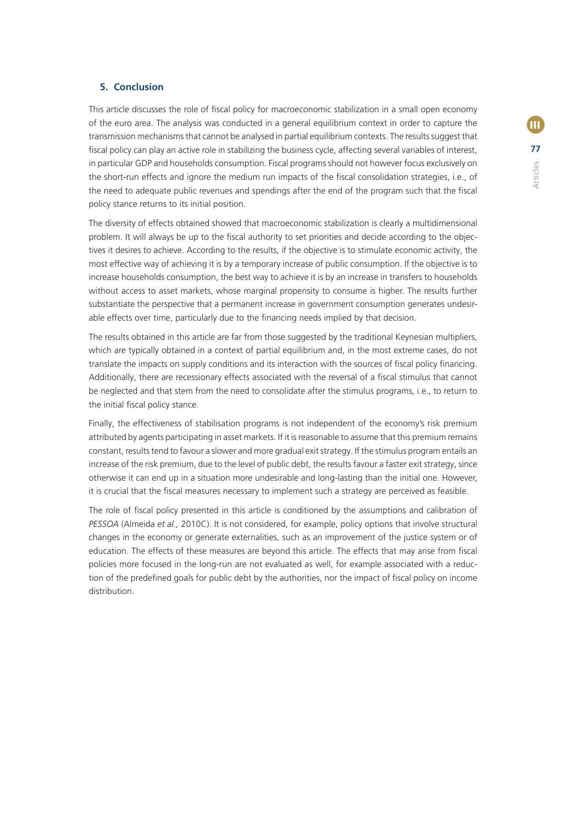# **5. Conclusion**

This article discusses the role of fiscal policy for macroeconomic stabilization in a small open economy of the euro area. The analysis was conducted in a general equilibrium context in order to capture the transmission mechanisms that cannot be analysed in partial equilibrium contexts. The results suggest that fiscal policy can play an active role in stabilizing the business cycle, affecting several variables of interest, in particular GDP and households consumption. Fiscal programs should not however focus exclusively on the short-run effects and ignore the medium run impacts of the fiscal consolidation strategies, i.e., of the need to adequate public revenues and spendings after the end of the program such that the fiscal policy stance returns to its initial position.

The diversity of effects obtained showed that macroeconomic stabilization is clearly a multidimensional problem. It will always be up to the fiscal authority to set priorities and decide according to the objectives it desires to achieve. According to the results, if the objective is to stimulate economic activity, the most effective way of achieving it is by a temporary increase of public consumption. If the objective is to increase households consumption, the best way to achieve it is by an increase in transfers to households without access to asset markets, whose marginal propensity to consume is higher. The results further substantiate the perspective that a permanent increase in government consumption generates undesirable effects over time, particularly due to the financing needs implied by that decision.

The results obtained in this article are far from those suggested by the traditional Keynesian multipliers, which are typically obtained in a context of partial equilibrium and, in the most extreme cases, do not translate the impacts on supply conditions and its interaction with the sources of fiscal policy financing. Additionally, there are recessionary effects associated with the reversal of a fiscal stimulus that cannot be neglected and that stem from the need to consolidate after the stimulus programs, i.e., to return to the initial fiscal policy stance.

Finally, the effectiveness of stabilisation programs is not independent of the economy's risk premium attributed by agents participating in asset markets. If it is reasonable to assume that this premium remains constant, results tend to favour a slower and more gradual exit strategy. If the stimulus program entails an increase of the risk premium, due to the level of public debt, the results favour a faster exit strategy, since otherwise it can end up in a situation more undesirable and long-lasting than the initial one. However, it is crucial that the fiscal measures necessary to implement such a strategy are perceived as feasible.

The role of fiscal policy presented in this article is conditioned by the assumptions and calibration of *PESSOA* (Almeida *et al.,* 2010C). It is not considered, for example, policy options that involve structural changes in the economy or generate externalities, such as an improvement of the justice system or of education. The effects of these measures are beyond this article. The effects that may arise from fiscal policies more focused in the long-run are not evaluated as well, for example associated with a reduction of the predefined goals for public debt by the authorities, nor the impact of fiscal policy on income distribution.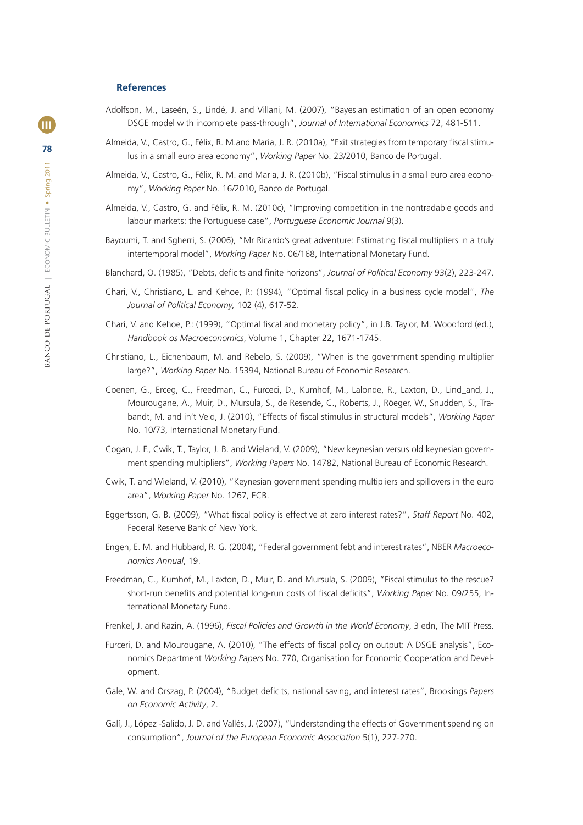#### **References**

- Adolfson, M., Laseén, S., Lindé, J. and Villani, M. (2007), "Bayesian estimation of an open economy DSGE model with incomplete pass-through", *Journal of International Economics* 72, 481-511.
- Almeida, V., Castro, G., Félix, R. M.and Maria, J. R. (2010a), "Exit strategies from temporary fiscal stimulus in a small euro area economy", *Working Paper* No. 23/2010, Banco de Portugal.
- Almeida, V., Castro, G., Félix, R. M. and Maria, J. R. (2010b), "Fiscal stimulus in a small euro area economy", *Working Paper* No. 16/2010, Banco de Portugal.
- Almeida, V., Castro, G. and Félix, R. M. (2010c), "Improving competition in the nontradable goods and labour markets: the Portuguese case", *Portuguese Economic Journal* 9(3).
- Bayoumi, T. and Sgherri, S. (2006), "Mr Ricardo's great adventure: Estimating fiscal multipliers in a truly intertemporal model", *Working Paper* No. 06/168, International Monetary Fund.
- Blanchard, O. (1985), "Debts, deficits and finite horizons", *Journal of Political Economy* 93(2), 223-247.
- Chari, V., Christiano, L. and Kehoe, P.: (1994), "Optimal fiscal policy in a business cycle model", *The Journal of Political Economy,* 102 (4), 617-52.
- Chari, V. and Kehoe, P.: (1999), "Optimal fiscal and monetary policy", in J.B. Taylor, M. Woodford (ed.), *Handbook os Macroeconomics*, Volume 1, Chapter 22, 1671-1745.
- Christiano, L., Eichenbaum, M. and Rebelo, S. (2009), "When is the government spending multiplier large?", *Working Paper* No. 15394, National Bureau of Economic Research.
- Coenen, G., Erceg, C., Freedman, C., Furceci, D., Kumhof, M., Lalonde, R., Laxton, D., Lind\_and, J., Mourougane, A., Muir, D., Mursula, S., de Resende, C., Roberts, J., Röeger, W., Snudden, S., Trabandt, M. and in't Veld, J. (2010), "Effects of fiscal stimulus in structural models", Working Paper No. 10/73, International Monetary Fund.
- Cogan, J. F., Cwik, T., Taylor, J. B. and Wieland, V. (2009), "New keynesian versus old keynesian government spending multipliers", *Working Papers* No. 14782, National Bureau of Economic Research.
- Cwik, T. and Wieland, V. (2010), "Keynesian government spending multipliers and spillovers in the euro area", *Working Paper* No. 1267, ECB.
- Eggertsson, G. B. (2009), "What fiscal policy is effective at zero interest rates?", Staff Report No. 402, Federal Reserve Bank of New York.
- Engen, E. M. and Hubbard, R. G. (2004), "Federal government febt and interest rates", NBER *Macroeconomics Annual*, 19.
- Freedman, C., Kumhof, M., Laxton, D., Muir, D. and Mursula, S. (2009), "Fiscal stimulus to the rescue? short-run benefits and potential long-run costs of fiscal deficits", *Working Paper* No. 09/255, International Monetary Fund.
- Frenkel, J. and Razin, A. (1996), *Fiscal Policies and Growth in the World Economy*, 3 edn, The MIT Press.
- Furceri, D. and Mourougane, A. (2010), "The effects of fiscal policy on output: A DSGE analysis", Economics Department *Working Papers* No. 770, Organisation for Economic Cooperation and Development.
- Gale, W. and Orszag, P. (2004), "Budget deficits, national saving, and interest rates", Brookings Papers *on Economic Activity*, 2.
- Galí, J., López -Salido, J. D. and Vallés, J. (2007), "Understanding the effects of Government spending on consumption", *Journal of the European Economic Association* 5(1), 227-270.